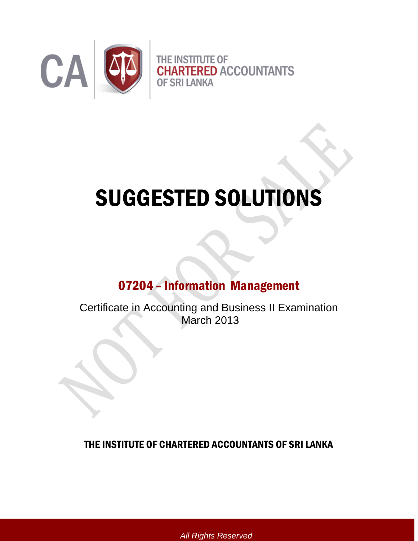

# SUGGESTED SOLUTIONS

# 07204 – Information Management

Certificate in Accounting and Business II Examination March 2013

THE INSTITUTE OF CHARTERED ACCOUNTANTS OF SRI LANKA

*All Rights Reserved*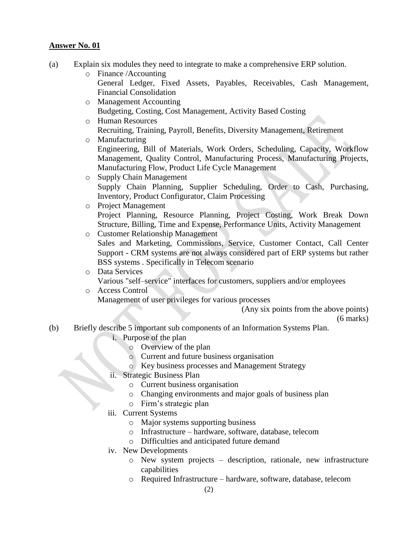- (a) Explain six modules they need to integrate to make a comprehensive ERP solution.
	- o Finance /Accounting
		- [General Ledger,](http://en.wikipedia.org/wiki/General_Ledger) [Fixed Assets](http://en.wikipedia.org/wiki/Fixed_Asset), [Payables,](http://en.wikipedia.org/wiki/Accounts_Payable) [Receivables,](http://en.wikipedia.org/wiki/Accounts_Receivable) [Cash Management,](http://en.wikipedia.org/wiki/Cash_Management) Financial Consolidation
	- o [Management Accounting](http://en.wikipedia.org/wiki/Management_Accounting) [Budgeting,](http://en.wikipedia.org/wiki/Budgeting) Costing, Cost Management, [Activity Based Costing](http://en.wikipedia.org/wiki/Activity_Based_Costing)
	- o [Human Resources](http://en.wikipedia.org/wiki/Human_Resources) [Recruiting,](http://en.wikipedia.org/wiki/Recruitment) [Training,](http://en.wikipedia.org/wiki/Training) [Payroll,](http://en.wikipedia.org/wiki/Payroll) [Benefits,](http://en.wikipedia.org/w/index.php?title=Employee_Benefit&action=edit&redlink=1) [Diversity Management,](http://en.wikipedia.org/wiki/Diversity_%28business%29) [Retirement](http://en.wikipedia.org/wiki/Retirement)
	- o [Manufacturing](http://en.wikipedia.org/wiki/Manufacturing) [Engineering,](http://en.wikipedia.org/wiki/Engineering) [Bill of Materials,](http://en.wikipedia.org/wiki/Bill_of_Materials) Work Orders, Scheduling, Capacity, [Workflow](http://en.wikipedia.org/w/index.php?title=Workflow_Management&action=edit&redlink=1)  [Management,](http://en.wikipedia.org/w/index.php?title=Workflow_Management&action=edit&redlink=1) [Quality Control,](http://en.wikipedia.org/wiki/Quality_Control) Manufacturing Process, Manufacturing Projects, Manufacturing Flow, [Product Life Cycle Management](http://en.wikipedia.org/wiki/Product_Life_Cycle_Management)
	- o [Supply Chain Management](http://en.wikipedia.org/wiki/Supply_Chain_Management) Supply Chain Planning, Supplier Scheduling, [Order to Cash,](http://en.wikipedia.org/w/index.php?title=Order_to_Cash&action=edit&redlink=1) [Purchasing,](http://en.wikipedia.org/wiki/Purchasing) [Inventory,](http://en.wikipedia.org/wiki/Inventory) [Product Configurator,](http://en.wikipedia.org/wiki/Product_Configurator) Claim Processing
	- o [Project Management](http://en.wikipedia.org/wiki/Project_Management) Project Planning, Resource Planning, Project Costing, Work Break Down Structure, [Billing,](http://en.wikipedia.org/wiki/Invoice) Time and Expense, Performance Units, Activity Management
	- o [Customer Relationship Management](http://en.wikipedia.org/wiki/Customer_Relationship_Management) Sales and Marketing, Commissions, Service, Customer Contact, [Call Center](http://en.wikipedia.org/wiki/Call_Center) Support - CRM systems are not always considered part of ERP systems but rather BSS systems . Specifically in Telecom scenario
	- o Data Services
		- Various "self–service" interfaces for customers, suppliers and/or employees
	- o [Access Control](http://en.wikipedia.org/wiki/Access_Control) Management of user privileges for various processes

(Any six points from the above points)

(6 marks)

- (b) Briefly describe 5 important sub components of an Information Systems Plan.
	- i. Purpose of the plan
		- o Overview of the plan
		- o Current and future business organisation
		- o Key business processes and Management Strategy
	- ii. Strategic Business Plan
		- o Current business organisation
		- o Changing environments and major goals of business plan
		- o Firm"s strategic plan
	- iii. Current Systems
		- o Major systems supporting business
		- o Infrastructure hardware, software, database, telecom
		- o Difficulties and anticipated future demand
	- iv. New Developments
		- o New system projects description, rationale, new infrastructure capabilities
		- o Required Infrastructure hardware, software, database, telecom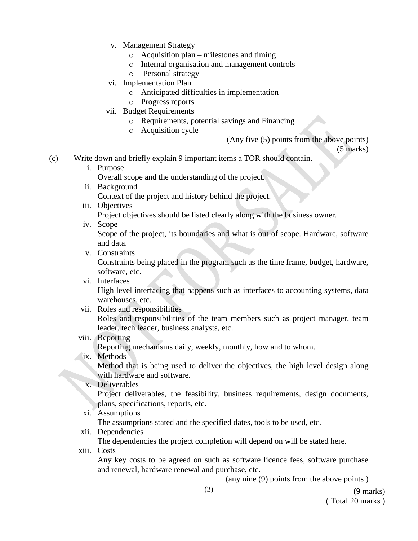- v. Management Strategy
	- o Acquisition plan milestones and timing
	- o Internal organisation and management controls
	- o Personal strategy
- vi. Implementation Plan
	- o Anticipated difficulties in implementation
	- o Progress reports
- vii. Budget Requirements
	- o Requirements, potential savings and Financing
	- o Acquisition cycle

(Any five (5) points from the above points)

(5 marks)

- (c) Write down and briefly explain 9 important items a TOR should contain.
	- i. Purpose

Overall scope and the understanding of the project.

- ii. Background Context of the project and history behind the project.
- iii. Objectives

Project objectives should be listed clearly along with the business owner.

iv. Scope

Scope of the project, its boundaries and what is out of scope. Hardware, software and data.

v. Constraints

Constraints being placed in the program such as the time frame, budget, hardware, software, etc.

vi. Interfaces

High level interfacing that happens such as interfaces to accounting systems, data warehouses, etc.

vii. Roles and responsibilities

Roles and responsibilities of the team members such as project manager, team leader, tech leader, business analysts, etc.

viii. Reporting

Reporting mechanisms daily, weekly, monthly, how and to whom.

ix. Methods

Method that is being used to deliver the objectives, the high level design along with hardware and software.

x. Deliverables

Project deliverables, the feasibility, business requirements, design documents, plans, specifications, reports, etc.

xi. Assumptions

The assumptions stated and the specified dates, tools to be used, etc.

xii. Dependencies

The dependencies the project completion will depend on will be stated here.

xiii. Costs

Any key costs to be agreed on such as software licence fees, software purchase and renewal, hardware renewal and purchase, etc.

(any nine (9) points from the above points )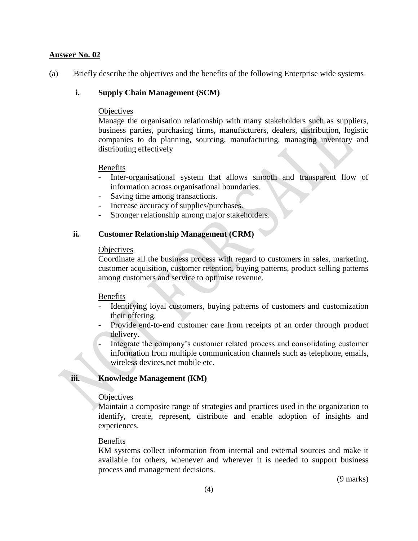(a) Briefly describe the objectives and the benefits of the following Enterprise wide systems

#### **i. Supply Chain Management (SCM)**

#### **Objectives**

Manage the organisation relationship with many stakeholders such as suppliers, business parties, purchasing firms, manufacturers, dealers, distribution, logistic companies to do planning, sourcing, manufacturing, managing inventory and distributing effectively

#### Benefits

- Inter-organisational system that allows smooth and transparent flow of information across organisational boundaries.
- Saving time among transactions.
- Increase accuracy of supplies/purchases.
- Stronger relationship among major stakeholders.

#### **ii. Customer Relationship Management (CRM)**

#### **Objectives**

Coordinate all the business process with regard to customers in sales, marketing, customer acquisition, customer retention, buying patterns, product selling patterns among customers and service to optimise revenue.

#### Benefits

- Identifying loyal customers, buying patterns of customers and customization their offering.
- Provide end-to-end customer care from receipts of an order through product delivery.
- Integrate the company"s customer related process and consolidating customer information from multiple communication channels such as telephone, emails, wireless devices,net mobile etc.

#### **iii. Knowledge Management (KM)**

#### **Objectives**

Maintain a composite range of strategies and practices used in the organization to identify, create, represent, distribute and enable adoption of insights and experiences.

#### Benefits

KM systems collect information from internal and external sources and make it available for others, whenever and wherever it is needed to support business process and management decisions.

(9 marks)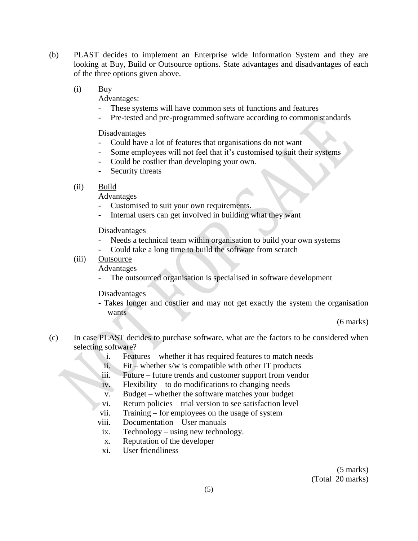- (b) PLAST decides to implement an Enterprise wide Information System and they are looking at Buy, Build or Outsource options. State advantages and disadvantages of each of the three options given above.
	- (i) Buy

Advantages:

- These systems will have common sets of functions and features
- Pre-tested and pre-programmed software according to common standards

Disadvantages

- Could have a lot of features that organisations do not want
- Some employees will not feel that it's customised to suit their systems
- Could be costlier than developing your own.
- Security threats

#### (ii) Build

Advantages

- Customised to suit your own requirements.
- Internal users can get involved in building what they want

Disadvantages

- Needs a technical team within organisation to build your own systems
- Could take a long time to build the software from scratch

#### (iii) Outsource

Advantages

The outsourced organisation is specialised in software development

#### Disadvantages

- Takes longer and costlier and may not get exactly the system the organisation wants

(6 marks)

- (c) In case PLAST decides to purchase software, what are the factors to be considered when selecting software?
	- i. Features whether it has required features to match needs
	- ii. Fit whether s/w is compatible with other IT products
	- iii. Future future trends and customer support from vendor
	- iv. Flexibility to do modifications to changing needs
	- v. Budget whether the software matches your budget
	- vi. Return policies trial version to see satisfaction level
	- vii. Training for employees on the usage of system
	- viii. Documentation User manuals
	- ix. Technology using new technology.
	- x. Reputation of the developer
	- xi. User friendliness

(5 marks) (Total 20 marks)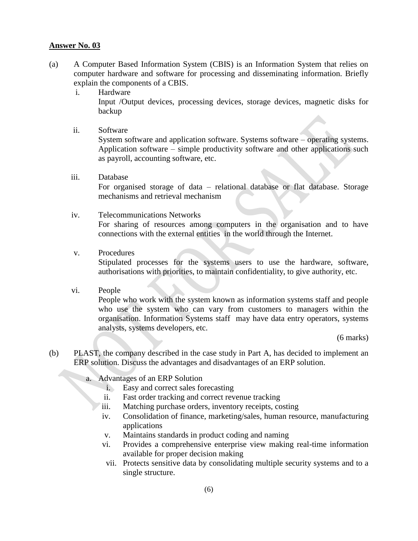- (a) A Computer Based Information System (CBIS) is an Information System that relies on computer hardware and software for processing and disseminating information. Briefly explain the components of a CBIS.
	- i. Hardware Input /Output devices, processing devices, storage devices, magnetic disks for backup
	- ii. Software

System software and application software. Systems software – operating systems. Application software – simple productivity software and other applications such as payroll, accounting software, etc.

iii. Database

For organised storage of data – relational database or flat database. Storage mechanisms and retrieval mechanism

iv. Telecommunications Networks

For sharing of resources among computers in the organisation and to have connections with the external entities in the world through the Internet.

v. Procedures

Stipulated processes for the systems users to use the hardware, software, authorisations with priorities, to maintain confidentiality, to give authority, etc.

vi. People

People who work with the system known as information systems staff and people who use the system who can vary from customers to managers within the organisation. Information Systems staff may have data entry operators, systems analysts, systems developers, etc.

(6 marks)

- (b) PLAST, the company described in the case study in Part A, has decided to implement an ERP solution. Discuss the advantages and disadvantages of an ERP solution.
	- a. Advantages of an ERP Solution
		- i. Easy and correct sales forecasting
		- ii. Fast order tracking and correct revenue tracking
		- iii. Matching purchase orders, inventory receipts, costing
		- iv. Consolidation of finance, marketing/sales, human resource, manufacturing applications
		- v. Maintains standards in product coding and naming
		- vi. Provides a comprehensive enterprise view making real-time information available for proper decision making
		- vii. Protects sensitive data by consolidating multiple security systems and to a single structure.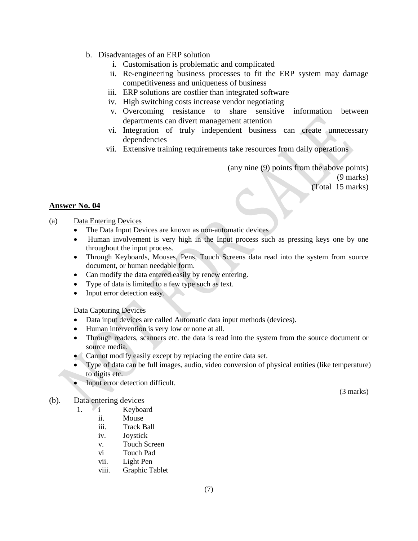- b. Disadvantages of an ERP solution
	- i. Customisation is problematic and complicated
	- ii. Re-engineering business processes to fit the ERP system may damage competitiveness and uniqueness of business
	- iii. ERP solutions are costlier than integrated software
	- iv. High switching costs increase vendor negotiating
	- v. Overcoming resistance to share sensitive information between departments can divert management attention
	- vi. Integration of truly independent business can create unnecessary dependencies
	- vii. Extensive training requirements take resources from daily operations

(any nine (9) points from the above points) (9 marks) (Total 15 marks)

#### **Answer No. 04**

#### (a) Data Entering Devices

- The Data Input Devices are known as non-automatic devices
- Human involvement is very high in the Input process such as pressing keys one by one throughout the input process.
- Through Keyboards, Mouses, Pens, Touch Screens data read into the system from source document, or human needable form.
- Can modify the data entered easily by renew entering.
- Type of data is limited to a few type such as text.
- Input error detection easy.

#### Data Capturing Devices

- Data input devices are called Automatic data input methods (devices).
- Human intervention is very low or none at all.
- Through readers, scanners etc. the data is read into the system from the source document or source media.
- Cannot modify easily except by replacing the entire data set.
- Type of data can be full images, audio, video conversion of physical entities (like temperature) to digits etc.
- Input error detection difficult.

#### (b). Data entering devices

- 1. i Keyboard
	- ii. Mouse
	- iii. Track Ball
	- iv. Joystick
	- v. Touch Screen
	- vi Touch Pad
	- vii. Light Pen
	- viii. Graphic Tablet

(3 marks)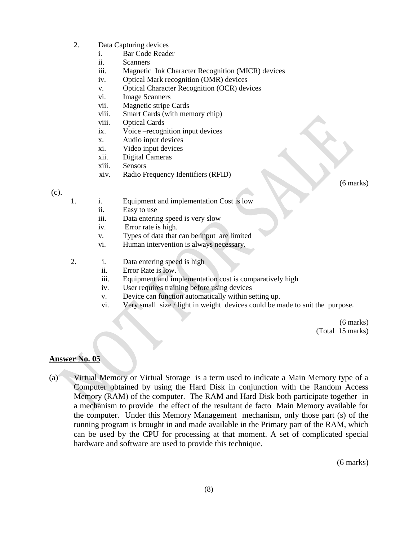- 2. Data Capturing devices
	- i. Bar Code Reader
	- ii. Scanners
	- iii. Magnetic Ink Character Recognition (MICR) devices
	- iv. Optical Mark recognition (OMR) devices
	- v. Optical Character Recognition (OCR) devices
	- vi. Image Scanners
	- vii. Magnetic stripe Cards
	- viii. Smart Cards (with memory chip)
	- viii. Optical Cards
	- ix. Voice –recognition input devices
	- x. Audio input devices
	- xi. Video input devices
	- xii. Digital Cameras
	- xiii. Sensors
	- xiv. Radio Frequency Identifiers (RFID)

(c).

- 1. i. Equipment and implementation Cost is low
	- ii. Easy to use
	- iii. Data entering speed is very slow
	- iv. Error rate is high.
	- v. Types of data that can be input are limited
	- vi. Human intervention is always necessary.
- 2. i. Data entering speed is high
	- ii. Error Rate is low.
	- iii. Equipment and implementation cost is comparatively high
	- iv. User requires training before using devices
	- v. Device can function automatically within setting up.
	- vi. Very small size / light in weight devices could be made to suit the purpose.

(6 marks) (Total 15 marks)

## **Answer No. 05**

(a) Virtual Memory or Virtual Storage is a term used to indicate a Main Memory type of a Computer obtained by using the Hard Disk in conjunction with the Random Access Memory (RAM) of the computer. The RAM and Hard Disk both participate together in a mechanism to provide the effect of the resultant de facto Main Memory available for the computer. Under this Memory Management mechanism, only those part (s) of the running program is brought in and made available in the Primary part of the RAM, which can be used by the CPU for processing at that moment. A set of complicated special hardware and software are used to provide this technique.

(6 marks)

(6 marks)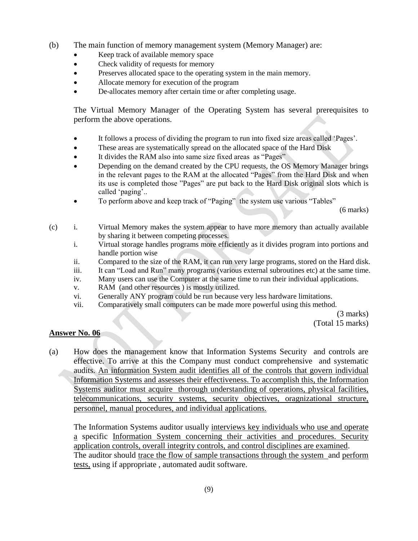- (b) The main function of memory management system (Memory Manager) are:
	- Keep track of available memory space
	- Check validity of requests for memory
	- Preserves allocated space to the operating system in the main memory.
	- Allocate memory for execution of the program
	- De-allocates memory after certain time or after completing usage.

The Virtual Memory Manager of the Operating System has several prerequisites to perform the above operations.

- It follows a process of dividing the program to run into fixed size areas called "Pages".
- These areas are systematically spread on the allocated space of the Hard Disk
- It divides the RAM also into same size fixed areas as "Pages"
- Depending on the demand created by the CPU requests, the OS Memory Manager brings in the relevant pages to the RAM at the allocated "Pages" from the Hard Disk and when its use is completed those "Pages" are put back to the Hard Disk original slots which is called 'paging'..
- To perform above and keep track of "Paging" the system use various "Tables"

(6 marks)

- (c) i. Virtual Memory makes the system appear to have more memory than actually available by sharing it between competing processes.
	- i. Virtual storage handles programs more efficiently as it divides program into portions and handle portion wise
	- ii. Compared to the size of the RAM, it can run very large programs, stored on the Hard disk.
	- iii. It can "Load and Run" many programs (various external subroutines etc) at the same time.
	- iv. Many users can use the Computer at the same time to run their individual applications.
	- v. RAM (and other resources ) is mostly utilized.
	- vi. Generally ANY program could be run because very less hardware limitations.
	- vii. Comparatively small computers can be made more powerful using this method.

(3 marks) (Total 15 marks)

#### **Answer No. 06**

(a) How does the management know that Information Systems Security and controls are effective. To arrive at this the Company must conduct comprehensive and systematic audits. An information System audit identifies all of the controls that govern individual Information Systems and assesses their effectiveness. To accomplish this, the Information Systems auditor must acquire thorough understanding of operations, physical facilities, telecommunications, security systems, security objectives, oragnizational structure, personnel, manual procedures, and individual applications.

The Information Systems auditor usually interviews key individuals who use and operate a specific Information System concerning their activities and procedures. Security application controls, overall integrity controls, and control disciplines are examined. The auditor should trace the flow of sample transactions through the system and perform tests, using if appropriate , automated audit software.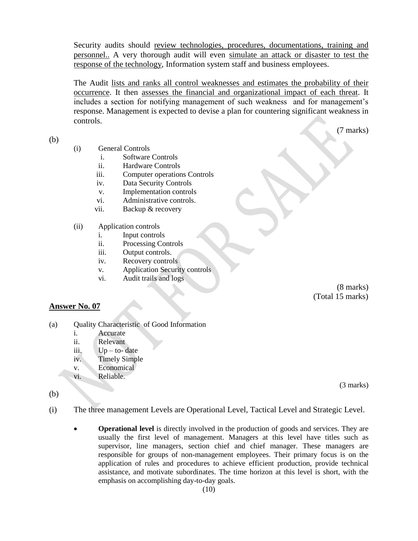Security audits should review technologies, procedures, documentations, training and personnel.. A very thorough audit will even simulate an attack or disaster to test the response of the technology, Information system staff and business employees.

The Audit lists and ranks all control weaknesses and estimates the probability of their occurrence. It then assesses the financial and organizational impact of each threat. It includes a section for notifying management of such weakness and for management's response. Management is expected to devise a plan for countering significant weakness in controls.

(b)

(7 marks)

- (i) General Controls
	- i. Software Controls
	- ii. Hardware Controls
	- iii. Computer operations Controls
	- iv. Data Security Controls
	- v. Implementation controls
	- vi. Administrative controls.
	- vii. Backup & recovery
- (ii) Application controls
	- i. Input controls
	- ii. Processing Controls
	- iii. Output controls.
	- iv. Recovery controls
	- v. Application Security controls
	- vi. Audit trails and logs

(8 marks) (Total 15 marks)

#### **Answer No. 07**

- (a) Quality Characteristic of Good Information
	- i. Accurate
	- ii. Relevant
	- iii.  $Up to$  date
	- iv. Timely Simple
	- v. Economical
	- vi. Reliable.

(3 marks)

- (b)
- (i) The three management Levels are Operational Level, Tactical Level and Strategic Level.
	- **Operational level** is directly involved in the production of goods and services. They are usually the first level of management. Managers at this level have titles such as supervisor, line managers, section chief and chief manager. These managers are responsible for groups of non-management employees. Their primary focus is on the application of rules and procedures to achieve efficient production, provide technical assistance, and motivate subordinates. The time horizon at this level is short, with the emphasis on accomplishing day-to-day goals.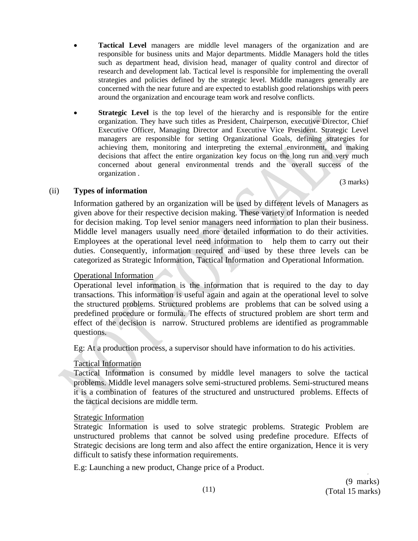- **Tactical Level** managers are middle level managers of the organization and are responsible for business units and Major departments. Middle Managers hold the titles such as department head, division head, manager of quality control and director of research and development lab. Tactical level is responsible for implementing the overall strategies and policies defined by the strategic level. Middle managers generally are concerned with the near future and are expected to establish good relationships with peers around the organization and encourage team work and resolve conflicts.
- **Strategic Level** is the top level of the hierarchy and is responsible for the entire organization. They have such titles as President, Chairperson, executive Director, Chief Executive Officer, Managing Director and Executive Vice President. Strategic Level managers are responsible for setting Organizational Goals, defining strategies for achieving them, monitoring and interpreting the external environment, and making decisions that affect the entire organization key focus on the long run and very much concerned about general environmental trends and the overall success of the organization .

(3 marks)

#### (ii) **Types of information**

Information gathered by an organization will be used by different levels of Managers as given above for their respective decision making. These variety of Information is needed for decision making. Top level senior managers need information to plan their business. Middle level managers usually need more detailed information to do their activities. Employees at the operational level need information to help them to carry out their duties. Consequently, information required and used by these three levels can be categorized as Strategic Information, Tactical Information and Operational Information.

#### Operational Information

Operational level information is the information that is required to the day to day transactions. This information is useful again and again at the operational level to solve the structured problems. Structured problems are problems that can be solved using a predefined procedure or formula. The effects of structured problem are short term and effect of the decision is narrow. Structured problems are identified as programmable questions.

Eg: At a production process, a supervisor should have information to do his activities.

#### Tactical Information

Tactical Information is consumed by middle level managers to solve the tactical problems. Middle level managers solve semi-structured problems. Semi-structured means it is a combination of features of the structured and unstructured problems. Effects of the tactical decisions are middle term.

#### Strategic Information

Strategic Information is used to solve strategic problems. Strategic Problem are unstructured problems that cannot be solved using predefine procedure. Effects of Strategic decisions are long term and also affect the entire organization, Hence it is very difficult to satisfy these information requirements.

E.g: Launching a new product, Change price of a Product.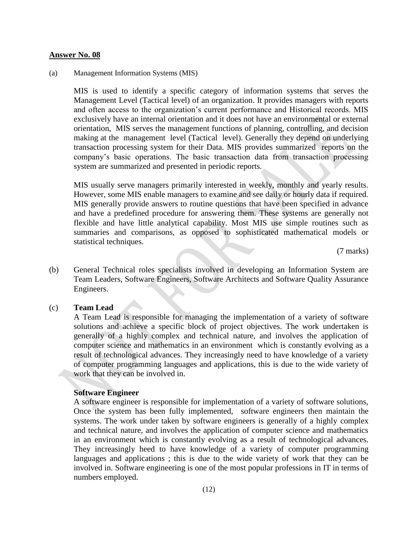#### (a) Management Information Systems (MIS)

MIS is used to identify a specific category of information systems that serves the Management Level (Tactical level) of an organization. It provides managers with reports and often access to the organization's current performance and Historical records. MIS exclusively have an internal orientation and it does not have an environmental or external orientation, MIS serves the management functions of planning, controlling, and decision making at the management level (Tactical level). Generally they depend on underlying transaction processing system for their Data. MIS provides summarized reports on the company"s basic operations. The basic transaction data from transaction processing system are summarized and presented in periodic reports.

MIS usually serve managers primarily interested in weekly, monthly and yearly results. However, some MIS enable managers to examine and see daily or hourly data if required. MIS generally provide answers to routine questions that have been specified in advance and have a predefined procedure for answering them. These systems are generally not flexible and have little analytical capability. Most MIS use simple routines such as summaries and comparisons, as opposed to sophisticated mathematical models or statistical techniques.

(7 marks)

(b) General Technical roles specialists involved in developing an Information System are Team Leaders, Software Engineers, Software Architects and Software Quality Assurance Engineers.

#### (c) **Team Lead**

A Team Lead is responsible for managing the implementation of a variety of software solutions and achieve a specific block of project objectives. The work undertaken is generally of a highly complex and technical nature, and involves the application of computer science and mathematics in an environment which is constantly evolving as a result of technological advances. They increasingly need to have knowledge of a variety of computer programming languages and applications, this is due to the wide variety of work that they can be involved in.

#### **Software Engineer**

A software engineer is responsible for implementation of a variety of software solutions, Once the system has been fully implemented, software engineers then maintain the systems. The work under taken by software engineers is generally of a highly complex and technical nature, and involves the application of computer science and mathematics in an environment which is constantly evolving as a result of technological advances. They increasingly heed to have knowledge of a variety of computer programming languages and applications ; this is due to the wide variety of work that they can be involved in. Software engineering is one of the most popular professions in IT in terms of numbers employed.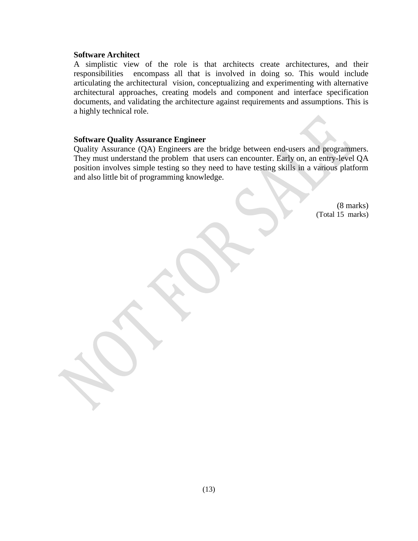#### **Software Architect**

A simplistic view of the role is that architects create architectures, and their responsibilities encompass all that is involved in doing so. This would include articulating the architectural vision, conceptualizing and experimenting with alternative architectural approaches, creating models and component and interface specification documents, and validating the architecture against requirements and assumptions. This is a highly technical role.

#### **Software Quality Assurance Engineer**

Quality Assurance (QA) Engineers are the bridge between end-users and programmers. They must understand the problem that users can encounter. Early on, an entry-level QA position involves simple testing so they need to have testing skills in a various platform and also little bit of programming knowledge.

> (8 marks) (Total 15 marks)